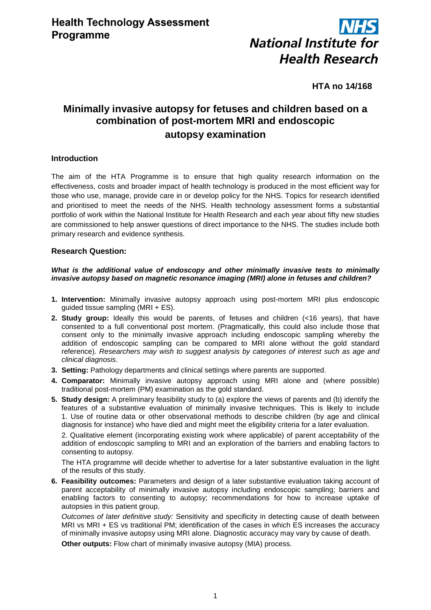

**HTA no 14/168**

# **Minimally invasive autopsy for fetuses and children based on a combination of post-mortem MRI and endoscopic autopsy examination**

## **Introduction**

The aim of the HTA Programme is to ensure that high quality research information on the effectiveness, costs and broader impact of health technology is produced in the most efficient way for those who use, manage, provide care in or develop policy for the NHS. Topics for research identified and prioritised to meet the needs of the NHS. Health technology assessment forms a substantial portfolio of work within the National Institute for Health Research and each year about fifty new studies are commissioned to help answer questions of direct importance to the NHS. The studies include both primary research and evidence synthesis.

#### **Research Question:**

#### *What is the additional value of endoscopy and other minimally invasive tests to minimally invasive autopsy based on magnetic resonance imaging (MRI) alone in fetuses and children?*

- **1. Intervention:** Minimally invasive autopsy approach using post-mortem MRI plus endoscopic guided tissue sampling (MRI + ES).
- **2. Study group:** Ideally this would be parents, of fetuses and children (<16 years), that have consented to a full conventional post mortem. (Pragmatically, this could also include those that consent only to the minimally invasive approach including endoscopic sampling whereby the addition of endoscopic sampling can be compared to MRI alone without the gold standard reference). *Researchers may wish to suggest analysis by categories of interest such as age and clinical diagnosis*.
- **3. Setting:** Pathology departments and clinical settings where parents are supported.
- **4. Comparator:** Minimally invasive autopsy approach using MRI alone and (where possible) traditional post-mortem (PM) examination as the gold standard.
- **5. Study design:** A preliminary feasibility study to (a) explore the views of parents and (b) identify the features of a substantive evaluation of minimally invasive techniques. This is likely to include 1. Use of routine data or other observational methods to describe children (by age and clinical diagnosis for instance) who have died and might meet the eligibility criteria for a later evaluation.

2. Qualitative element (incorporating existing work where applicable) of parent acceptability of the addition of endoscopic sampling to MRI and an exploration of the barriers and enabling factors to consenting to autopsy.

The HTA programme will decide whether to advertise for a later substantive evaluation in the light of the results of this study.

**6. Feasibility outcomes:** Parameters and design of a later substantive evaluation taking account of parent acceptability of minimally invasive autopsy including endoscopic sampling; barriers and enabling factors to consenting to autopsy; recommendations for how to increase uptake of autopsies in this patient group.

*Outcomes of later definitive study:* Sensitivity and specificity in detecting cause of death between MRI vs MRI + ES vs traditional PM; identification of the cases in which ES increases the accuracy of minimally invasive autopsy using MRI alone. Diagnostic accuracy may vary by cause of death.

**Other outputs:** Flow chart of minimally invasive autopsy (MIA) process.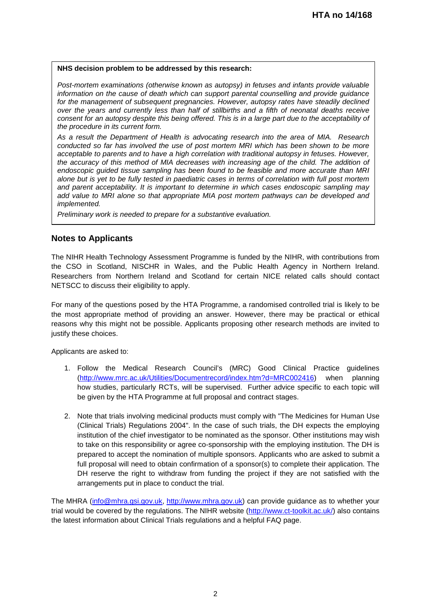#### **NHS decision problem to be addressed by this research:**

*Post-mortem examinations (otherwise known as autopsy) in fetuses and infants provide valuable information on the cause of death which can support parental counselling and provide guidance*  for the management of subsequent pregnancies. However, autopsy rates have steadily declined *over the years and currently less than half of stillbirths and a fifth of neonatal deaths receive consent for an autopsy despite this being offered. This is in a large part due to the acceptability of the procedure in its current form.* 

*As a result the Department of Health is advocating research into the area of MIA. Research conducted so far has involved the use of post mortem MRI which has been shown to be more acceptable to parents and to have a high correlation with traditional autopsy in fetuses. However,*  the accuracy of this method of MIA decreases with increasing age of the child. The addition of *endoscopic guided tissue sampling has been found to be feasible and more accurate than MRI alone but is yet to be fully tested in paediatric cases in terms of correlation with full post mortem and parent acceptability. It is important to determine in which cases endoscopic sampling may add value to MRI alone so that appropriate MIA post mortem pathways can be developed and implemented.* 

*Preliminary work is needed to prepare for a substantive evaluation.* 

# **Notes to Applicants**

The NIHR Health Technology Assessment Programme is funded by the NIHR, with contributions from the CSO in Scotland, NISCHR in Wales, and the Public Health Agency in Northern Ireland. Researchers from Northern Ireland and Scotland for certain NICE related calls should contact NETSCC to discuss their eligibility to apply.

For many of the questions posed by the HTA Programme, a randomised controlled trial is likely to be the most appropriate method of providing an answer. However, there may be practical or ethical reasons why this might not be possible. Applicants proposing other research methods are invited to justify these choices.

Applicants are asked to:

- 1. Follow the Medical Research Council's (MRC) Good Clinical Practice guidelines [\(http://www.mrc.ac.uk/Utilities/Documentrecord/index.htm?d=MRC002416\)](http://www.mrc.ac.uk/Utilities/Documentrecord/index.htm?d=MRC002416) when planning how studies, particularly RCTs, will be supervised. Further advice specific to each topic will be given by the HTA Programme at full proposal and contract stages.
- 2. Note that trials involving medicinal products must comply with "The Medicines for Human Use (Clinical Trials) Regulations 2004". In the case of such trials, the DH expects the employing institution of the chief investigator to be nominated as the sponsor. Other institutions may wish to take on this responsibility or agree co-sponsorship with the employing institution. The DH is prepared to accept the nomination of multiple sponsors. Applicants who are asked to submit a full proposal will need to obtain confirmation of a sponsor(s) to complete their application. The DH reserve the right to withdraw from funding the project if they are not satisfied with the arrangements put in place to conduct the trial.

The MHRA [\(info@mhra.gsi.gov.uk,](mailto:info@mhra.gsi.gov.uk) [http://www.mhra.gov.uk\)](http://www.mhra.gov.uk/) can provide guidance as to whether your trial would be covered by the regulations. The NIHR website [\(http://www.ct-toolkit.ac.uk/\)](http://www.ct-toolkit.ac.uk/) also contains the latest information about Clinical Trials regulations and a helpful FAQ page.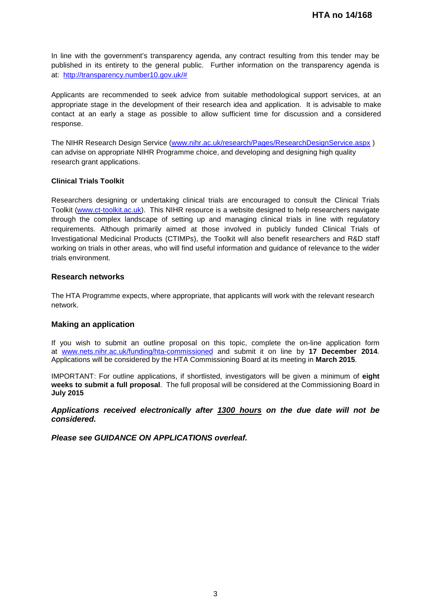In line with the government's transparency agenda, any contract resulting from this tender may be published in its entirety to the general public. Further information on the transparency agenda is at: [http://transparency.number10.gov.uk/#](http://transparency.number10.gov.uk/)

Applicants are recommended to seek advice from suitable methodological support services, at an appropriate stage in the development of their research idea and application. It is advisable to make contact at an early a stage as possible to allow sufficient time for discussion and a considered response.

The NIHR Research Design Service [\(www.nihr.ac.uk/research/Pages/ResearchDesignService.aspx](http://www.nihr.ac.uk/research/Pages/ResearchDesignService.aspx) ) can advise on appropriate NIHR Programme choice, and developing and designing high quality research grant applications.

#### **Clinical Trials Toolkit**

Researchers designing or undertaking clinical trials are encouraged to consult the Clinical Trials Toolkit [\(www.ct-toolkit.ac.uk\)](http://www.ct-toolkit.ac.uk/home). This NIHR resource is a website designed to help researchers navigate through the complex landscape of setting up and managing clinical trials in line with regulatory requirements. Although primarily aimed at those involved in publicly funded Clinical Trials of Investigational Medicinal Products (CTIMPs), the Toolkit will also benefit researchers and R&D staff working on trials in other areas, who will find useful information and guidance of relevance to the wider trials environment.

#### **Research networks**

The HTA Programme expects, where appropriate, that applicants will work with the relevant research network.

#### **Making an application**

If you wish to submit an outline proposal on this topic, complete the on-line application form at [www.nets.nihr.ac.uk/funding/hta-commissioned](http://www.nets.nihr.ac.uk/funding/hta-commissioned) and submit it on line by **17 December 2014**. Applications will be considered by the HTA Commissioning Board at its meeting in **March 2015**.

IMPORTANT: For outline applications, if shortlisted, investigators will be given a minimum of **eight weeks to submit a full proposal**. The full proposal will be considered at the Commissioning Board in **July 2015**

*Applications received electronically after 1300 hours on the due date will not be considered.*

*Please see GUIDANCE ON APPLICATIONS overleaf.*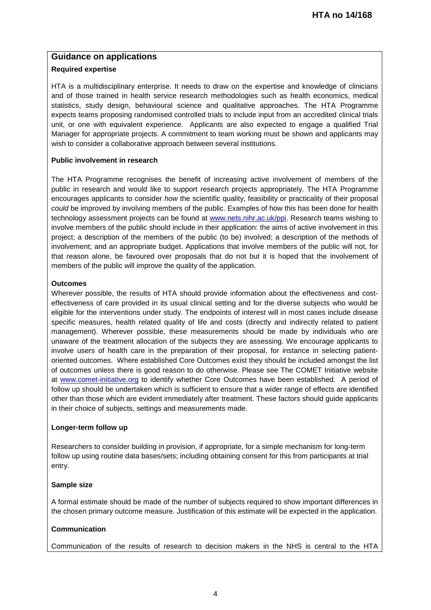# **Guidance on applications**

## **Required expertise**

HTA is a multidisciplinary enterprise. It needs to draw on the expertise and knowledge of clinicians and of those trained in health service research methodologies such as health economics, medical statistics, study design, behavioural science and qualitative approaches. The HTA Programme expects teams proposing randomised controlled trials to include input from an accredited clinical trials unit, or one with equivalent experience. Applicants are also expected to engage a qualified Trial Manager for appropriate projects. A commitment to team working must be shown and applicants may wish to consider a collaborative approach between several institutions.

## **Public involvement in research**

The HTA Programme recognises the benefit of increasing active involvement of members of the public in research and would like to support research projects appropriately. The HTA Programme encourages applicants to consider *how* the scientific quality, feasibility or practicality of their proposal *could* be improved by involving members of the public. Examples of how this has been done for health technology assessment projects can be found at [www.nets.nihr.ac.uk/ppi.](http://www.nets.nihr.ac.uk/ppi) Research teams wishing to involve members of the public should include in their application: the aims of active involvement in this project; a description of the members of the public (to be) involved; a description of the methods of involvement; and an appropriate budget. Applications that involve members of the public will not, for that reason alone, be favoured over proposals that do not but it is hoped that the involvement of members of the public will improve the quality of the application.

## **Outcomes**

Wherever possible, the results of HTA should provide information about the effectiveness and costeffectiveness of care provided in its usual clinical setting and for the diverse subjects who would be eligible for the interventions under study. The endpoints of interest will in most cases include disease specific measures, health related quality of life and costs (directly and indirectly related to patient management). Wherever possible, these measurements should be made by individuals who are unaware of the treatment allocation of the subjects they are assessing. We encourage applicants to involve users of health care in the preparation of their proposal, for instance in selecting patientoriented outcomes. Where established Core Outcomes exist they should be included amongst the list of outcomes unless there is good reason to do otherwise. Please see The COMET Initiative website at [www.comet-initiative.org](http://www.comet-initiative.org/) to identify whether Core Outcomes have been established. A period of follow up should be undertaken which is sufficient to ensure that a wider range of effects are identified other than those which are evident immediately after treatment. These factors should guide applicants in their choice of subjects, settings and measurements made.

# **Longer-term follow up**

Researchers to consider building in provision, if appropriate, for a simple mechanism for long-term follow up using routine data bases/sets; including obtaining consent for this from participants at trial entry.

# **Sample size**

A formal estimate should be made of the number of subjects required to show important differences in the chosen primary outcome measure. Justification of this estimate will be expected in the application.

# **Communication**

Communication of the results of research to decision makers in the NHS is central to the HTA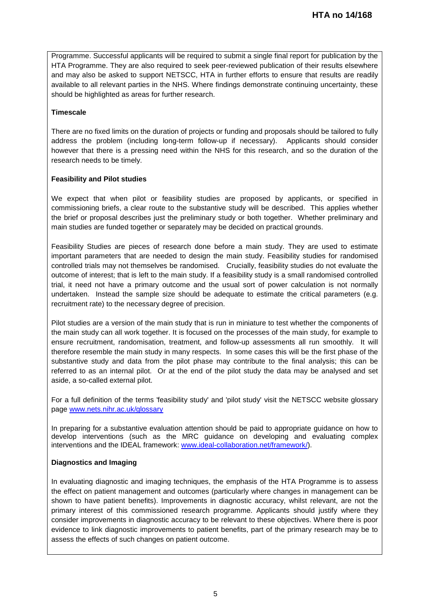Programme. Successful applicants will be required to submit a single final report for publication by the HTA Programme. They are also required to seek peer-reviewed publication of their results elsewhere and may also be asked to support NETSCC, HTA in further efforts to ensure that results are readily available to all relevant parties in the NHS. Where findings demonstrate continuing uncertainty, these should be highlighted as areas for further research.

#### **Timescale**

There are no fixed limits on the duration of projects or funding and proposals should be tailored to fully address the problem (including long-term follow-up if necessary). Applicants should consider however that there is a pressing need within the NHS for this research, and so the duration of the research needs to be timely.

#### **Feasibility and Pilot studies**

We expect that when pilot or feasibility studies are proposed by applicants, or specified in commissioning briefs, a clear route to the substantive study will be described. This applies whether the brief or proposal describes just the preliminary study or both together. Whether preliminary and main studies are funded together or separately may be decided on practical grounds.

Feasibility Studies are pieces of research done before a main study. They are used to estimate important parameters that are needed to design the main study. Feasibility studies for randomised controlled trials may not themselves be randomised. Crucially, feasibility studies do not evaluate the outcome of interest; that is left to the main study. If a feasibility study is a small randomised controlled trial, it need not have a primary outcome and the usual sort of power calculation is not normally undertaken. Instead the sample size should be adequate to estimate the critical parameters (e.g. recruitment rate) to the necessary degree of precision.

Pilot studies are a version of the main study that is run in miniature to test whether the components of the main study can all work together. It is focused on the processes of the main study, for example to ensure recruitment, randomisation, treatment, and follow-up assessments all run smoothly. It will therefore resemble the main study in many respects. In some cases this will be the first phase of the substantive study and data from the pilot phase may contribute to the final analysis; this can be referred to as an internal pilot. Or at the end of the pilot study the data may be analysed and set aside, a so-called external pilot.

For a full definition of the terms 'feasibility study' and 'pilot study' visit the NETSCC website glossary page [www.nets.nihr.ac.uk/glossary](http://www.nets.nihr.ac.uk/glossary)

In preparing for a substantive evaluation attention should be paid to appropriate guidance on how to develop interventions (such as the MRC guidance on developing and evaluating complex interventions and the IDEAL framework: [www.ideal-collaboration.net/framework/\)](http://www.ideal-collaboration.net/framework/).

#### **Diagnostics and Imaging**

In evaluating diagnostic and imaging techniques, the emphasis of the HTA Programme is to assess the effect on patient management and outcomes (particularly where changes in management can be shown to have patient benefits). Improvements in diagnostic accuracy, whilst relevant, are not the primary interest of this commissioned research programme. Applicants should justify where they consider improvements in diagnostic accuracy to be relevant to these objectives. Where there is poor evidence to link diagnostic improvements to patient benefits, part of the primary research may be to assess the effects of such changes on patient outcome.